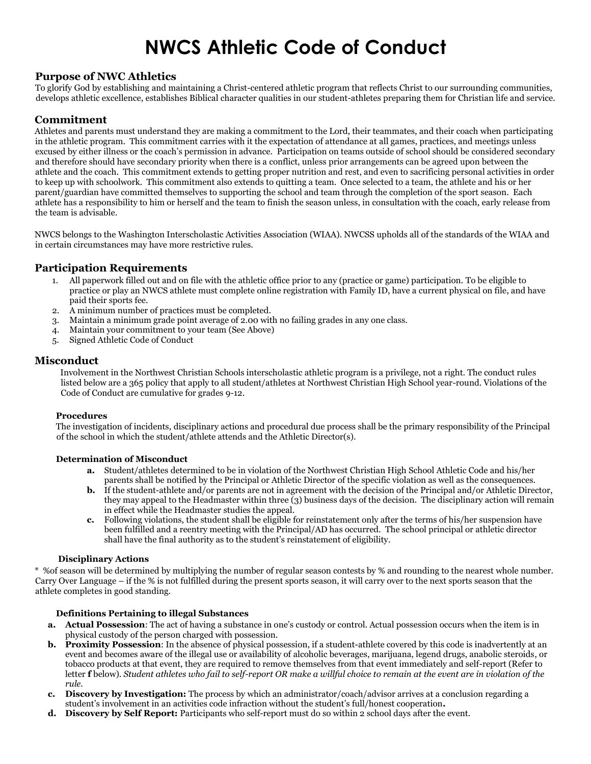# **NWCS Athletic Code of Conduct**

## **Purpose of NWC Athletics**

To glorify God by establishing and maintaining a Christ-centered athletic program that reflects Christ to our surrounding communities, develops athletic excellence, establishes Biblical character qualities in our student-athletes preparing them for Christian life and service.

# **Commitment**

Athletes and parents must understand they are making a commitment to the Lord, their teammates, and their coach when participating in the athletic program. This commitment carries with it the expectation of attendance at all games, practices, and meetings unless excused by either illness or the coach's permission in advance. Participation on teams outside of school should be considered secondary and therefore should have secondary priority when there is a conflict, unless prior arrangements can be agreed upon between the athlete and the coach. This commitment extends to getting proper nutrition and rest, and even to sacrificing personal activities in order to keep up with schoolwork. This commitment also extends to quitting a team. Once selected to a team, the athlete and his or her parent/guardian have committed themselves to supporting the school and team through the completion of the sport season. Each athlete has a responsibility to him or herself and the team to finish the season unless, in consultation with the coach, early release from the team is advisable.

NWCS belongs to the Washington Interscholastic Activities Association (WIAA). NWCSS upholds all of the standards of the WIAA and in certain circumstances may have more restrictive rules.

# **Participation Requirements**

- 1. All paperwork filled out and on file with the athletic office prior to any (practice or game) participation. To be eligible to practice or play an NWCS athlete must complete online registration with Family ID, have a current physical on file, and have paid their sports fee.
- 2. A minimum number of practices must be completed.
- 3. Maintain a minimum grade point average of 2.00 with no failing grades in any one class.
- 4. Maintain your commitment to your team (See Above)
- 5. Signed Athletic Code of Conduct

## **Misconduct**

Involvement in the Northwest Christian Schools interscholastic athletic program is a privilege, not a right. The conduct rules listed below are a 365 policy that apply to all student/athletes at Northwest Christian High School year-round. Violations of the Code of Conduct are cumulative for grades 9-12.

#### **Procedures**

The investigation of incidents, disciplinary actions and procedural due process shall be the primary responsibility of the Principal of the school in which the student/athlete attends and the Athletic Director(s).

#### **Determination of Misconduct**

- **a.** Student/athletes determined to be in violation of the Northwest Christian High School Athletic Code and his/her parents shall be notified by the Principal or Athletic Director of the specific violation as well as the consequences.
- **b.** If the student-athlete and/or parents are not in agreement with the decision of the Principal and/or Athletic Director, they may appeal to the Headmaster within three (3) business days of the decision. The disciplinary action will remain in effect while the Headmaster studies the appeal.
- **c.** Following violations, the student shall be eligible for reinstatement only after the terms of his/her suspension have been fulfilled and a reentry meeting with the Principal/AD has occurred. The school principal or athletic director shall have the final authority as to the student's reinstatement of eligibility.

#### **Disciplinary Actions**

\* %of season will be determined by multiplying the number of regular season contests by % and rounding to the nearest whole number. Carry Over Language – if the % is not fulfilled during the present sports season, it will carry over to the next sports season that the athlete completes in good standing.

#### **Definitions Pertaining to illegal Substances**

- **a. Actual Possession**: The act of having a substance in one's custody or control. Actual possession occurs when the item is in physical custody of the person charged with possession.
- **b.** Proximity Possession: In the absence of physical possession, if a student-athlete covered by this code is inadvertently at an event and becomes aware of the illegal use or availability of alcoholic beverages, marijuana, legend drugs, anabolic steroids, or tobacco products at that event, they are required to remove themselves from that event immediately and self-report (Refer to letter **f** below). *Student athletes who fail to self-report OR make a willful choice to remain at the event are in violation of the rule.*
- **c. Discovery by Investigation:** The process by which an administrator/coach/advisor arrives at a conclusion regarding a student's involvement in an activities code infraction without the student's full/honest cooperation**.**
- **d. Discovery by Self Report:** Participants who self-report must do so within 2 school days after the event.